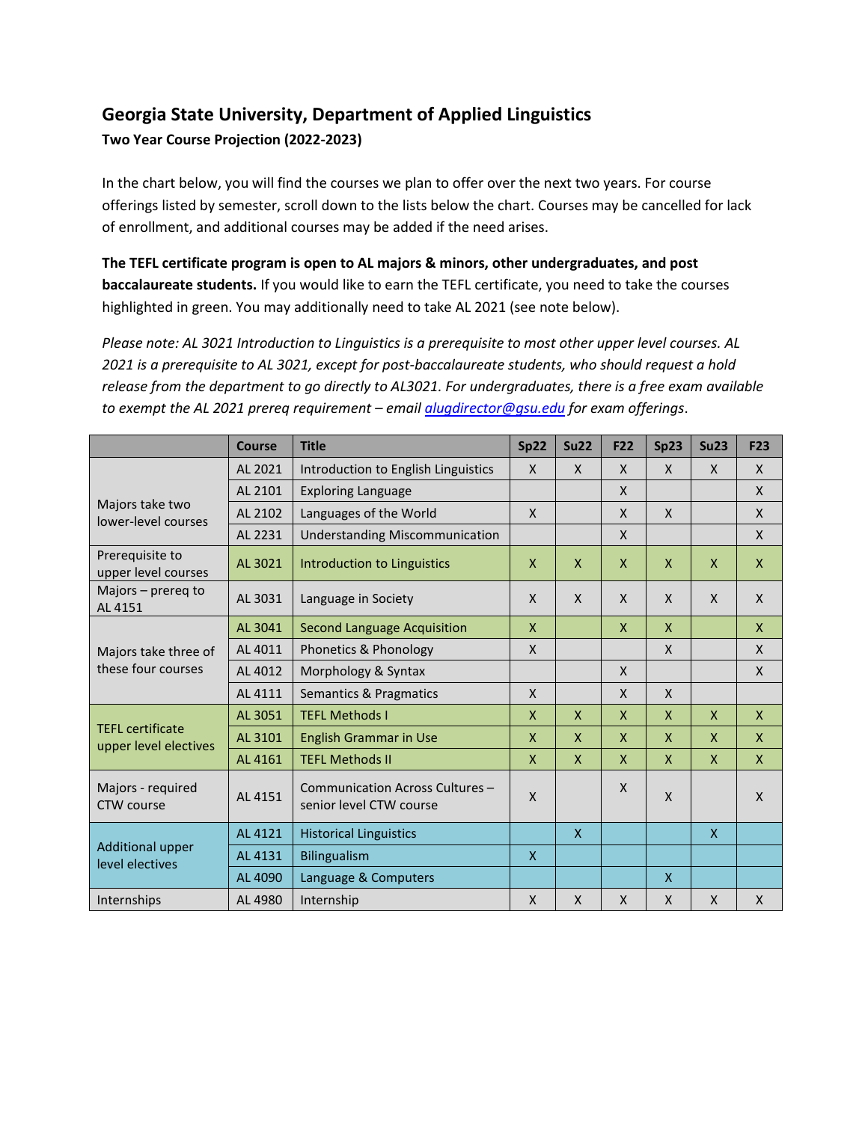# **Georgia State University, Department of Applied Linguistics**

## **Two Year Course Projection (2022-2023)**

In the chart below, you will find the courses we plan to offer over the next two years. For course offerings listed by semester, scroll down to the lists below the chart. Courses may be cancelled for lack of enrollment, and additional courses may be added if the need arises.

**The TEFL certificate program is open to AL majors & minors, other undergraduates, and post baccalaureate students.** If you would like to earn the TEFL certificate, you need to take the courses highlighted in green. You may additionally need to take AL 2021 (see note below).

*Please note: AL 3021 Introduction to Linguistics is a prerequisite to most other upper level courses. AL 2021 is a prerequisite to AL 3021, except for post-baccalaureate students, who should request a hold release from the department to go directly to AL3021. For undergraduates, there is a free exam available to exempt the AL 2021 prereq requirement – emai[l alugdirector@gsu.edu](mailto:alugdirector@gsu.edu) for exam offerings*.

|                                                  | <b>Course</b> | <b>Title</b>                                               | Sp22         | <b>Su22</b>  | <b>F22</b>   | Sp23         | Su23         | <b>F23</b>   |
|--------------------------------------------------|---------------|------------------------------------------------------------|--------------|--------------|--------------|--------------|--------------|--------------|
|                                                  | AL 2021       | Introduction to English Linguistics                        | $\mathsf{x}$ | $\mathsf{x}$ | $\mathsf{X}$ | $\mathsf{x}$ | $\mathsf{X}$ | $\mathsf{x}$ |
| Majors take two<br>lower-level courses           | AL 2101       | <b>Exploring Language</b>                                  |              |              | $\mathsf{x}$ |              |              | $\mathsf{x}$ |
|                                                  | AL 2102       | Languages of the World                                     | $\mathsf{X}$ |              | $\mathsf{X}$ | $\mathsf{x}$ |              | X            |
|                                                  | AL 2231       | <b>Understanding Miscommunication</b>                      |              |              | $\mathsf{X}$ |              |              | $\mathsf{x}$ |
| Prerequisite to<br>upper level courses           | AL 3021       | Introduction to Linguistics                                | $\mathsf{x}$ | $\mathsf{X}$ | $\mathsf{x}$ | $\mathsf{X}$ | $\mathsf{x}$ | $\mathsf{X}$ |
| Majors - prereg to<br>AL 4151                    | AL 3031       | Language in Society                                        | $\mathsf{x}$ | $\mathsf{x}$ | $\mathsf{x}$ | X            | $\mathsf{X}$ | X            |
| Majors take three of<br>these four courses       | AL 3041       | <b>Second Language Acquisition</b>                         | $\mathsf{x}$ |              | $\mathsf{x}$ | $\mathsf{X}$ |              | $\mathsf{x}$ |
|                                                  | AL 4011       | Phonetics & Phonology                                      | $\mathsf{x}$ |              |              | $\mathsf{x}$ |              | $\mathsf{x}$ |
|                                                  | AL 4012       | Morphology & Syntax                                        |              |              | $\mathsf{X}$ |              |              | $\mathsf{x}$ |
|                                                  | AL 4111       | Semantics & Pragmatics                                     | $\mathsf{x}$ |              | $\mathsf{x}$ | $\mathsf{x}$ |              |              |
| <b>TEFL</b> certificate<br>upper level electives | AL 3051       | <b>TEFL Methods I</b>                                      | $\mathsf{x}$ | $\mathsf{X}$ | $\mathsf{x}$ | $\mathsf{X}$ | $\mathsf{x}$ | $\mathsf{x}$ |
|                                                  | AL 3101       | <b>English Grammar in Use</b>                              | $\mathsf{x}$ | $\mathsf{x}$ | $\mathsf{x}$ | X            | $\mathsf{x}$ | $\mathsf{x}$ |
|                                                  | AL 4161       | <b>TEFL Methods II</b>                                     | $\mathsf{x}$ | $\mathsf{x}$ | $\mathsf{x}$ | $\mathsf{x}$ | $\mathsf{x}$ | $\mathsf{x}$ |
| Majors - required<br><b>CTW</b> course           | AL 4151       | Communication Across Cultures -<br>senior level CTW course | $\mathsf{x}$ |              | $\mathsf{X}$ | $\mathsf{x}$ |              | $\mathsf{x}$ |
| <b>Additional upper</b><br>level electives       | AL 4121       | <b>Historical Linguistics</b>                              |              | $\mathsf{x}$ |              |              | $\mathsf{x}$ |              |
|                                                  | AL 4131       | <b>Bilingualism</b>                                        | $\mathsf{x}$ |              |              |              |              |              |
|                                                  | AL 4090       | Language & Computers                                       |              |              |              | X            |              |              |
| Internships                                      | AL 4980       | Internship                                                 | $\mathsf{x}$ | $\mathsf{x}$ | $\mathsf{x}$ | X            | $\mathsf{x}$ | $\mathsf{x}$ |